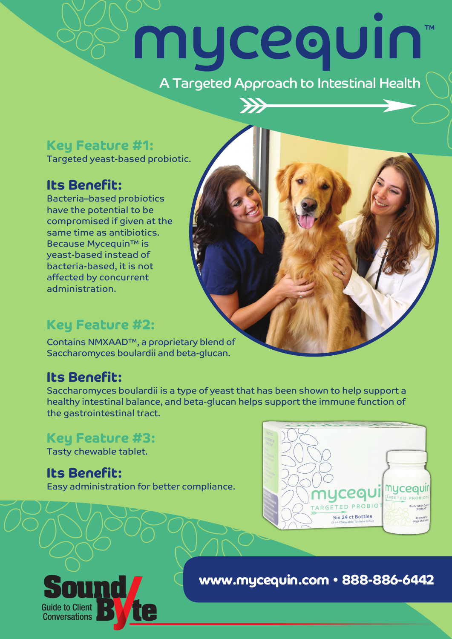# mycequin **TM** A Targeted Approach to Intestinal Health

 $\rightarrow$ 

### **Key Feature #1:**

Targeted yeast-based probiotic.

### **Its Benefit:**

Bacteria–based probiotics have the potential to be compromised if given at the same time as antibiotics. Because Mycequin™ is yeast-based instead of bacteria-based, it is not affected by concurrent administration.

## **Key Feature #2:**

Contains NMXAAD™, a proprietary blend of Saccharomyces boulardii and beta-glucan.

### **Its Benefit:**

Saccharomyces boulardii is a type of yeast that has been shown to help support a healthy intestinal balance, and beta-glucan helps support the immune function of the gastrointestinal tract.

### **Key Feature #3:**

Tasty chewable tablet.

## **Its Benefit:**

Easy administration for better compliance.





**www.mycequin.com • 888-886-6442**